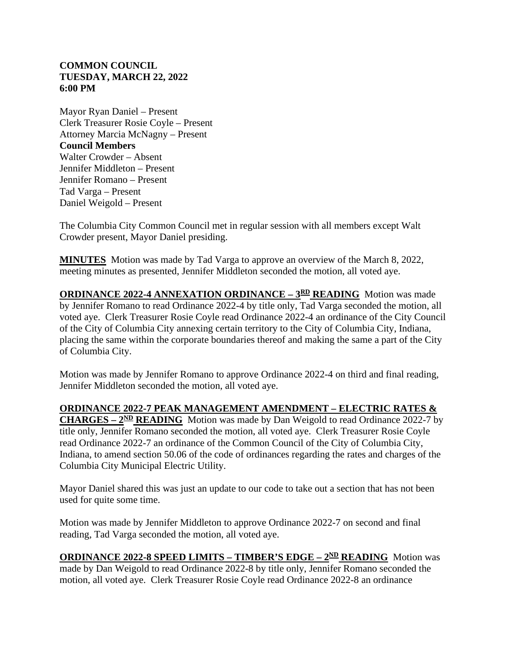## **COMMON COUNCIL TUESDAY, MARCH 22, 2022 6:00 PM**

Mayor Ryan Daniel – Present Clerk Treasurer Rosie Coyle – Present Attorney Marcia McNagny – Present **Council Members** Walter Crowder – Absent Jennifer Middleton – Present Jennifer Romano – Present Tad Varga – Present Daniel Weigold – Present

The Columbia City Common Council met in regular session with all members except Walt Crowder present, Mayor Daniel presiding.

**MINUTES** Motion was made by Tad Varga to approve an overview of the March 8, 2022, meeting minutes as presented, Jennifer Middleton seconded the motion, all voted aye.

**ORDINANCE 2022-4 ANNEXATION ORDINANCE –**  $3<sup>RD</sup>$  **<b>READING** Motion was made by Jennifer Romano to read Ordinance 2022-4 by title only, Tad Varga seconded the motion, all voted aye. Clerk Treasurer Rosie Coyle read Ordinance 2022-4 an ordinance of the City Council of the City of Columbia City annexing certain territory to the City of Columbia City, Indiana, placing the same within the corporate boundaries thereof and making the same a part of the City of Columbia City.

Motion was made by Jennifer Romano to approve Ordinance 2022-4 on third and final reading, Jennifer Middleton seconded the motion, all voted aye.

### **ORDINANCE 2022-7 PEAK MANAGEMENT AMENDMENT – ELECTRIC RATES &**

**CHARGES – 2ND READING** Motion was made by Dan Weigold to read Ordinance 2022-7 by title only, Jennifer Romano seconded the motion, all voted aye. Clerk Treasurer Rosie Coyle read Ordinance 2022-7 an ordinance of the Common Council of the City of Columbia City, Indiana, to amend section 50.06 of the code of ordinances regarding the rates and charges of the Columbia City Municipal Electric Utility.

Mayor Daniel shared this was just an update to our code to take out a section that has not been used for quite some time.

Motion was made by Jennifer Middleton to approve Ordinance 2022-7 on second and final reading, Tad Varga seconded the motion, all voted aye.

### **ORDINANCE 2022-8 SPEED LIMITS – TIMBER'S EDGE – 2ND READING** Motion was

made by Dan Weigold to read Ordinance 2022-8 by title only, Jennifer Romano seconded the motion, all voted aye. Clerk Treasurer Rosie Coyle read Ordinance 2022-8 an ordinance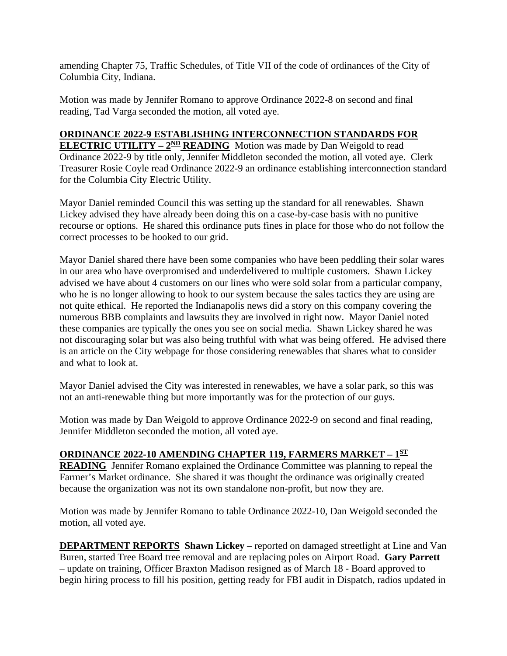amending Chapter 75, Traffic Schedules, of Title VII of the code of ordinances of the City of Columbia City, Indiana.

Motion was made by Jennifer Romano to approve Ordinance 2022-8 on second and final reading, Tad Varga seconded the motion, all voted aye.

# **ORDINANCE 2022-9 ESTABLISHING INTERCONNECTION STANDARDS FOR**

**ELECTRIC UTILITY –**  $2^{ND}$  **<b>READING** Motion was made by Dan Weigold to read Ordinance 2022-9 by title only, Jennifer Middleton seconded the motion, all voted aye. Clerk Treasurer Rosie Coyle read Ordinance 2022-9 an ordinance establishing interconnection standard for the Columbia City Electric Utility.

Mayor Daniel reminded Council this was setting up the standard for all renewables. Shawn Lickey advised they have already been doing this on a case-by-case basis with no punitive recourse or options. He shared this ordinance puts fines in place for those who do not follow the correct processes to be hooked to our grid.

Mayor Daniel shared there have been some companies who have been peddling their solar wares in our area who have overpromised and underdelivered to multiple customers. Shawn Lickey advised we have about 4 customers on our lines who were sold solar from a particular company, who he is no longer allowing to hook to our system because the sales tactics they are using are not quite ethical. He reported the Indianapolis news did a story on this company covering the numerous BBB complaints and lawsuits they are involved in right now. Mayor Daniel noted these companies are typically the ones you see on social media. Shawn Lickey shared he was not discouraging solar but was also being truthful with what was being offered. He advised there is an article on the City webpage for those considering renewables that shares what to consider and what to look at.

Mayor Daniel advised the City was interested in renewables, we have a solar park, so this was not an anti-renewable thing but more importantly was for the protection of our guys.

Motion was made by Dan Weigold to approve Ordinance 2022-9 on second and final reading, Jennifer Middleton seconded the motion, all voted aye.

# **ORDINANCE 2022-10 AMENDING CHAPTER 119, FARMERS MARKET – 1ST**

**READING** Jennifer Romano explained the Ordinance Committee was planning to repeal the Farmer's Market ordinance. She shared it was thought the ordinance was originally created because the organization was not its own standalone non-profit, but now they are.

Motion was made by Jennifer Romano to table Ordinance 2022-10, Dan Weigold seconded the motion, all voted aye.

**DEPARTMENT REPORTS Shawn Lickey** – reported on damaged streetlight at Line and Van Buren, started Tree Board tree removal and are replacing poles on Airport Road. **Gary Parrett** – update on training, Officer Braxton Madison resigned as of March 18 - Board approved to begin hiring process to fill his position, getting ready for FBI audit in Dispatch, radios updated in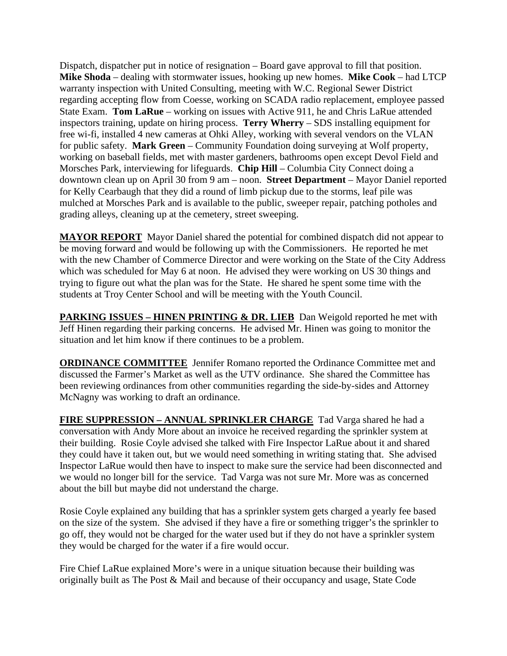Dispatch, dispatcher put in notice of resignation – Board gave approval to fill that position. **Mike Shoda** – dealing with stormwater issues, hooking up new homes. **Mike Cook** – had LTCP warranty inspection with United Consulting, meeting with W.C. Regional Sewer District regarding accepting flow from Coesse, working on SCADA radio replacement, employee passed State Exam. **Tom LaRue** – working on issues with Active 911, he and Chris LaRue attended inspectors training, update on hiring process. **Terry Wherry** – SDS installing equipment for free wi-fi, installed 4 new cameras at Ohki Alley, working with several vendors on the VLAN for public safety. **Mark Green** – Community Foundation doing surveying at Wolf property, working on baseball fields, met with master gardeners, bathrooms open except Devol Field and Morsches Park, interviewing for lifeguards. **Chip Hill** – Columbia City Connect doing a downtown clean up on April 30 from 9 am – noon. **Street Department** – Mayor Daniel reported for Kelly Cearbaugh that they did a round of limb pickup due to the storms, leaf pile was mulched at Morsches Park and is available to the public, sweeper repair, patching potholes and grading alleys, cleaning up at the cemetery, street sweeping.

**MAYOR REPORT** Mayor Daniel shared the potential for combined dispatch did not appear to be moving forward and would be following up with the Commissioners. He reported he met with the new Chamber of Commerce Director and were working on the State of the City Address which was scheduled for May 6 at noon. He advised they were working on US 30 things and trying to figure out what the plan was for the State. He shared he spent some time with the students at Troy Center School and will be meeting with the Youth Council.

**PARKING ISSUES – HINEN PRINTING & DR. LIEB** Dan Weigold reported he met with Jeff Hinen regarding their parking concerns. He advised Mr. Hinen was going to monitor the situation and let him know if there continues to be a problem.

**ORDINANCE COMMITTEE** Jennifer Romano reported the Ordinance Committee met and discussed the Farmer's Market as well as the UTV ordinance. She shared the Committee has been reviewing ordinances from other communities regarding the side-by-sides and Attorney McNagny was working to draft an ordinance.

**FIRE SUPPRESSION – ANNUAL SPRINKLER CHARGE** Tad Varga shared he had a conversation with Andy More about an invoice he received regarding the sprinkler system at their building. Rosie Coyle advised she talked with Fire Inspector LaRue about it and shared they could have it taken out, but we would need something in writing stating that. She advised Inspector LaRue would then have to inspect to make sure the service had been disconnected and we would no longer bill for the service. Tad Varga was not sure Mr. More was as concerned about the bill but maybe did not understand the charge.

Rosie Coyle explained any building that has a sprinkler system gets charged a yearly fee based on the size of the system. She advised if they have a fire or something trigger's the sprinkler to go off, they would not be charged for the water used but if they do not have a sprinkler system they would be charged for the water if a fire would occur.

Fire Chief LaRue explained More's were in a unique situation because their building was originally built as The Post & Mail and because of their occupancy and usage, State Code